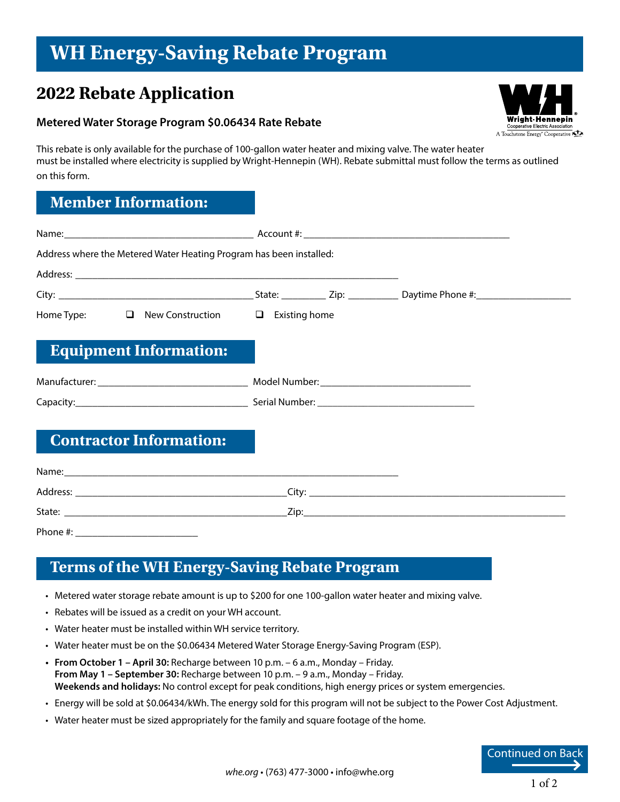# **WH Energy-Saving Rebate Program**

# **2022 Rebate Application**

#### **Metered Water Storage Program \$0.06434 Rate Rebate**

Wright-Hennepin Cooperative Electric Association A Touchstone Energy<sup>®</sup> Cooperative

This rebate is only available for the purchase of 100-gallon water heater and mixing valve. The water heater must be installed where electricity is supplied by Wright-Hennepin (WH). Rebate submittal must follow the terms as outlined on this form.

## **Member Information:**

| Address where the Metered Water Heating Program has been installed:                                                                                                                                                           |  |
|-------------------------------------------------------------------------------------------------------------------------------------------------------------------------------------------------------------------------------|--|
|                                                                                                                                                                                                                               |  |
|                                                                                                                                                                                                                               |  |
| Home Type: $\Box$ New Construction $\Box$ Existing home                                                                                                                                                                       |  |
| <b>Equipment Information:</b>                                                                                                                                                                                                 |  |
|                                                                                                                                                                                                                               |  |
|                                                                                                                                                                                                                               |  |
| <b>Contractor Information:</b>                                                                                                                                                                                                |  |
| Name: Name: Name: Name: Name: Name: Name: Name: Name: Name: Name: Name: Name: Name: Name: Name: Name: Name: Name: Name: Name: Name: Name: Name: Name: Name: Name: Name: Name: Name: Name: Name: Name: Name: Name: Name: Name: |  |
|                                                                                                                                                                                                                               |  |
|                                                                                                                                                                                                                               |  |

Phone #: \_\_\_\_\_\_\_\_\_\_\_\_\_\_\_\_\_\_\_\_\_\_

### **Terms of the WH Energy-Saving Rebate Program**

- Metered water storage rebate amount is up to \$200 for one 100-gallon water heater and mixing valve.
- Rebates will be issued as a credit on your WH account.
- Water heater must be installed within WH service territory.
- Water heater must be on the \$0.06434 Metered Water Storage Energy-Saving Program (ESP).
- **• From October 1 April 30:** Recharge between 10 p.m. 6 a.m., Monday Friday. **From May 1 – September 30:** Recharge between 10 p.m. – 9 a.m., Monday – Friday. **Weekends and holidays:** No control except for peak conditions, high energy prices or system emergencies.
- Energy will be sold at \$0.06434/kWh. The energy sold for this program will not be subject to the Power Cost Adjustment.
- Water heater must be sized appropriately for the family and square footage of the home.